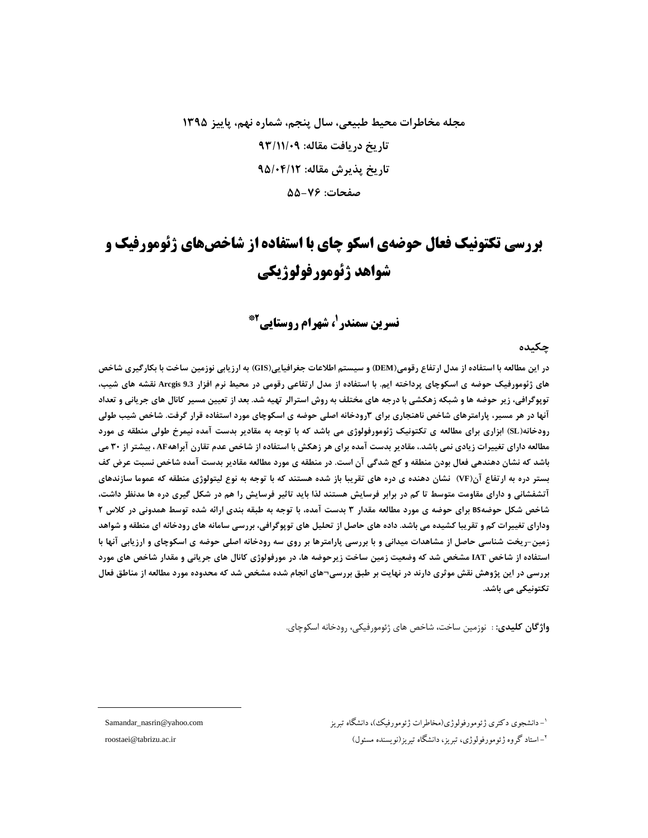# مجله مخاطرات محیط طبیعی، سال پنجم، شماره نهم، پاییز ۱۳۹۵ تاريخ دريافت مقاله: ٩٣/١١/٠٩ تاريخ پذيرش مقاله: ٩۵/٠۴/۱۲ صفحات: ۷۶-۵۵

# **بررسی تکتونیک فعال حوضهی اسکو چای با استفاده از شاخصهای ژئومورفیک و شواهد ژئومورفولوژیکی**

**نسرین سمندر <sup>(</sup>، شهرام روستایی<sup>2\*</sup>** 

چکیده

در این مطالعه با استفاده از مدل ارتفاع رقومی(DEM) و سیستم اطلاعات جغرافیایی(GIS) به ارزیابی نوزمین ساخت با بکارگیری شاخص های ژئومورفیک حوضه ی اسکوچای پرداخته ایم. با استفاده از مدل ارتفاعی رقومی در محیط نرم افزار Arcgis 9.3 نقشه های شیب، توپوگرافی، زیر حوضه ها و شبکه زهکشی با درجه های مختلف به روش استرالر تهیه شد. بعد از تعیین مسیر کانال های جریانی و تعداد آنها در هر مسیر، پارامترهای شاخص ناهنجاری برای ۳رودخانه اصلی حوضه ی اسکوچای مورد استفاده قرار گرفت. شاخص شیب طولی رودخانه(SL) ابزاری برای مطالعه ی تکتونیک ژئومورفولوژی می باشد که با توجه به مقادیر بدست آمده نیمرخ طولی منطقه ی مورد مطالعه دارای تغییرات زیادی نمی باشد.، مقادیر بدست آمده برای هر زهکش با استفاده از شاخص عدم تقارن آبراههAF ، بیشتر از ۳۰ می باشد که نشان دهندهی فعال بودن منطقه و کج شدگی آن است. در منطقه ی مورد مطالعه مقادیر بدست آمده شاخص نسبت عرض کف بستر دره به ارتفاع آن(VF) نشان دهنده ی دره های تقریبا باز شده هستند که با توجه به نوع لیتولوژی منطقه که عموما سازندهای آتشفشانی و دارای مقاومت متوسط تا کم در برابر فرسایش هستند لذا باید تاثیر فرسایش را هم در شکل گیری دره ها مدنظر داشت، شاخص شکل حوضهBS برای حوضه ی مورد مطالعه مقدار ۳ بدست آمده، با توجه به طبقه بندی ارائه شده توسط همدونی در کلاس ۲ ودارای تغییرات کم و تقریبا کشیده می باشد. داده های حاصل از تحلیل های توپوگرافی، بررسی سامانه های رودخانه ای منطقه و شواهد زمین-ریخت شناسی حاصل از مشاهدات میدانی و با بررسی پارامترها بر روی سه رودخانه اصلی حوضه ی اسکوچای و ارزیابی آنها با استفاده از شاخص IAT مشخص شد که وضعیت زمین ساخت زیرحوضه ها، در مورفولوژی کانال های جریانی و مقدار شاخص های مورد **بررسی در این پژوهش نقش موثری دارند در نهایت بر طبق بررسی¬های انجام شده مشخص شد که محدوده مورد مطالعه از مناطق فعال** تكتونيكي مي باشد.

**واژگان کلیدی**: : نوزمین ساخت، شاخص های ژئومورفیکی، رودخانه اسکوچای.

1 Samandar\_nasrin@yahoo.com !" ( ) 
 - 2 roostaei@tabrizu.ac.ir ('() \*+)!) !" !" \$% & -

 $\overline{a}$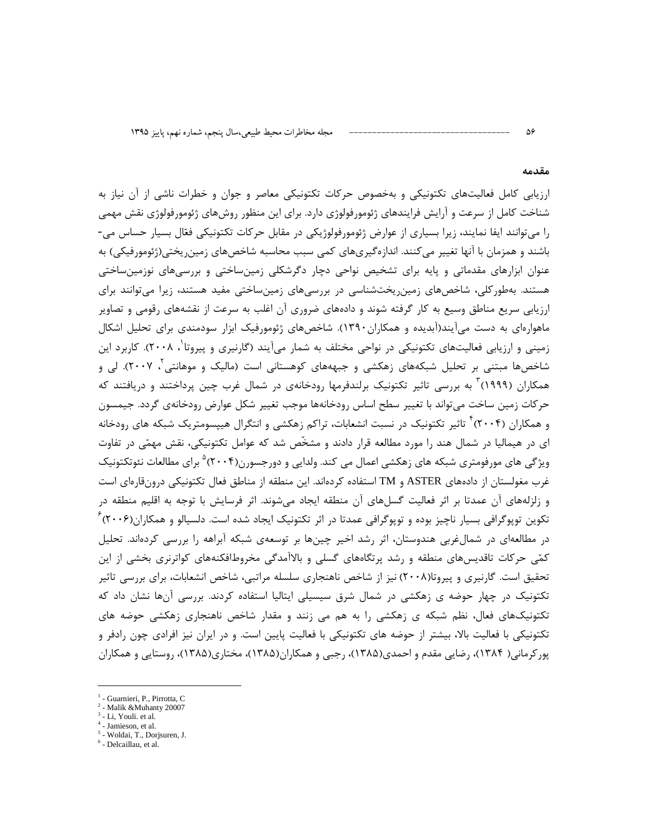#### مقدمه

 $\Delta \hat{z}$ 

ارزیابی کامل فعالیتهای تکتونیکی و بهخصوص حرکات تکتونیکی معاصر و جوان و خطرات ناشی از آن نیاز به شناخت کامل از سرعت و آرایش فرایندهای ژئومورفولوژی دارد. برای این منظور روشهای ژئومورفولوژی نقش مهمی را می توانند ایفا نمایند، زیرا بسیاری از عوارض ژئومورفولوژیکی در مقابل حرکات تکتونیکی فعّال بسیار حساس می-باشند و همزمان با آنها تغییر می کنند. اندازهگیریهای کمی سبب محاسبه شاخصهای زمین ریختی(ژئومورفیکی) به عنوان ابزارهای مقدماتی و پایه برای تشخیص نواحی دچار دگرشکلی زمینساختی و بررسیهای نوزمینساختی هستند. بهطورکلی، شاخصهای زمینریختشناسی در بررسیهای زمینساختی مفید هستند، زیرا میتوانند برای ارزیابی سریع مناطق وسیع به کار گرفته شوند و دادههای ضروری آن اغلب به سرعت از نقشههای رقومی و تصاویر ماهوارهای به دست میآیند(آبدیده و همکاران۱۳۹۰). شاخصهای ژئومورفیک ابزار سودمندی برای تحلیل اشکال زمینی و ارزیابی فعالیتهای تکتونیکی در نواحی مختلف به شمار میآیند (گارنیری و پیروتا<sup>'</sup>، ۲۰۰۸). کاربرد این شاخصها مبتنی بر تحلیل شبکههای زهکشی و جبهههای کوهستانی است (مالیک و موهانتی ٔ، ۲۰۰۷). لی و همکاران (۱۹۹۹) ً به بررسی تاثیر تکتونیک برلندفرمها رودخانهی در شمال غرب چین پرداختند و دریافتند که حرکات زمین ساخت می¤واند با تغییر سطح اساس رودخانهها موجب تغییر شکل عوارض رودخانهی گردد. جیمسون و همکاران (۲۰۰۴)<sup>۲</sup> تاثیر تکتونیک در نسبت انشعابات، تراکم زهکشی و انتگرال هیپسومتریک شبکه های رودخانه ای در هیمالیا در شمال هند را مورد مطالعه قرار دادند و مشخّص شد که عوامل تکتونیکی، نقش مهمّی در تفاوت ویژگی های مورفومتری شبکه های زهکشی اعمال می کند. ولدایی و دورجسورن(۲۰۰۴)° برای مطالعات نئوتکتونیک غرب مغولستان از دادههای ASTER و TM استفاده کردهاند. این منطقه از مناطق فعال تکتونیکی درونقارهای است و زلزلههای آن عمدتا بر اثر فعالیت گسلهای آن منطقه ایجاد میشوند. اثر فرسایش با توجه به اقلیم منطقه در تکوین توپوگرافی بسیار ناچیز بوده و توپوگرافی عمدتا در اثر تکتونیک ایجاد شده است. دلسیالو و همکاران(۲۰۰۶) ً در مطالعهای در شمالغربی هندوستان، اثر رشد اخیر چینها بر توسعهی شبکه آبراهه را بررسی کردهاند. تحلیل کمّی حرکات تاقدیسهای منطقه و رشد پرتگاههای گسلی و بالاآمدگی مخروطافکنههای کواترنری بخشی از این تحقیق است. گارنیری و پیروتا(۲۰۰۸) نیز از شاخص ناهنجاری سلسله مراتبی، شاخص انشعابات، برای بررسی تاثیر تکتونیک در چهار حوضه ی زهکشی در شمال شرق سیسیلی ایتالیا استفاده کردند. بررسی آنها نشان داد که تکتونیکهای فعال، نظم شبکه ی زهکشی را به هم می زنند و مقدار شاخص ناهنجاری زهکشی حوضه های تکتونیکی با فعالیت بالا، بیشتر از حوضه های تکتونیکی با فعالیت پایین است. و در ایران نیز افرادی چون رادفر و یور کرمانی( ۱۳۸۴)، رضایی مقدم و احمدی(۱۳۸۵)، رجبی و همکاران(۱۳۸۵)، مختاری(۱۳۸۵)، روستایی و همکاران

- $2$  Malik & Muhanty 20007
- $3$  Li, Youli. et al.
- <sup>4</sup> Jamieson, et al.
- <sup>5</sup> Woldai, T., Dorjsuren, J.
- $<sup>6</sup>$  Delcaillau, et al.</sup>

<sup>&</sup>lt;sup>1</sup> - Guarnieri, P., Pirrotta, C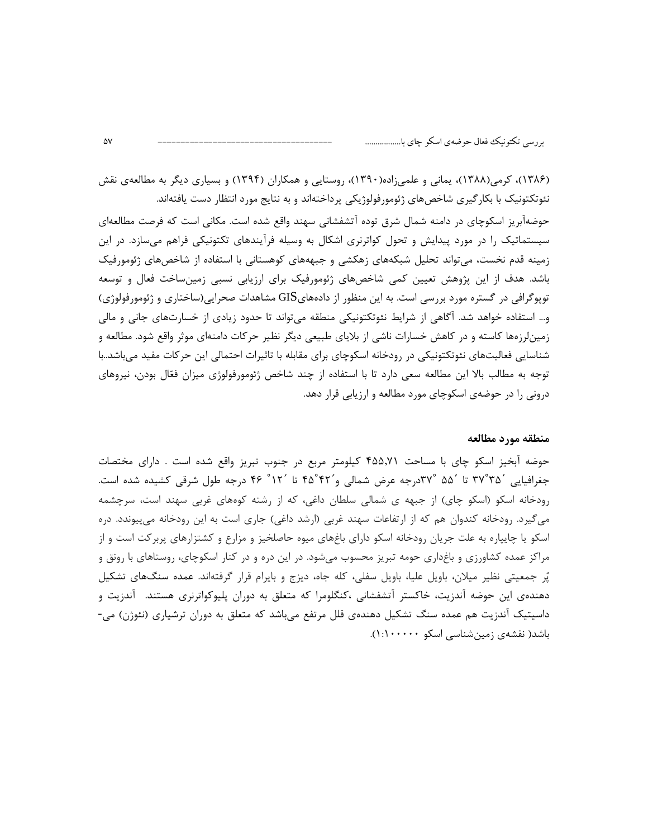(۱۳۸۶)، کرمی(۱۳۸۸)، یمانی و علمیزاده(۱۳۹۰)، روستایی و همکاران (۱۳۹۴) و بسیاری دیگر به مطالعهی نقش نئوتکتونیک با بکار گیری شاخصهای ژئومورفولوژیکی پرداختهاند و به نتایج مورد انتظار دست یافتهاند. حوضهآبریز اسکوچای در دامنه شمال شرق توده آتشفشانی سهند واقع شده است. مکانی است که فرصت مطالعهای سیستماتیک را در مورد پیدایش و تحول کواترنری اشکال به وسیله فرآیندهای تکتونیکی فراهم میسازد. در این زمینه قدم نخست، میتواند تحلیل شبکههای زهکشی و جبهههای کوهستانی با استفاده از شاخصهای ژئومورفیک باشد. هدف از این پژوهش تعیین کمی شاخصهای ژئومورفیک برای ارزیابی نسبی زمینساخت فعال و توسعه توپوگرافی در گستره مورد بررسی است. به این منظور از دادههایGIS مشاهدات صحرایی(ساختاری و ژئومورفولوژی) و… استفاده خواهد شد. آگاهی از شرایط نئوتکتونیکی منطقه میتواند تا حدود زیادی از خسارتهای جانی و مالی زمینلرزهها کاسته و در کاهش خسارات ناشی از بلایای طبیعی دیگر نظیر حرکات دامنهای موثر واقع شود. مطالعه و شناسایی فعالیتهای نئوتکتونیکی در رودخانه اسکوچای برای مقابله با تاثیرات احتمالی این حرکات مفید می،باشد..با توجه به مطالب بالا این مطالعه سعی دارد تا با استفاده از چند شاخص ژئومورفولوژی میزان فعّال بودن، نیروهای درونی را در حوضهی اسکوچای مورد مطالعه و ارزیابی قرار دهد.

### منطقه مورد مطالعه

حوضه آبخیز اسکو چای با مساحت ۴۵۵٬۷۱ کیلومتر مربع در جنوب تبریز واقع شده است . دارای مختصات جغرافیایی ۳۷°۳۵ تا ۵۵° ۳۷°درجه عرض شمالی و ۴۲°۴۵ تا ۱۲° ۴۶ درجه طول شرقی کشیده شده است. رودخانه اسکو (اسکو چای) از جبهه ی شمالی سلطان داغی، که از رشته کوههای غربی سهند است، سرچشمه میگیرد. رودخانه کندوان هم که از ارتفاعات سهند غربی (ارشد داغی) جاری است به این رودخانه میپیوندد. دره اسکو یا چایپاره به علت جریان رودخانه اسکو دارای باغهای میوه حاصلخیز و مزارع و کشتزارهای پربرکت است و از مراکز عمده کشاورزی و باغداری حومه تبریز محسوب میشود. در این دره و در کنار اسکوچای، روستاهای با رونق و پُر جمعیتی نظیر میلان، باویل علیا، باویل سفلی، کله جاه، دیزج و بایرام قرار گرفتهاند. عمده سنگهای تشکیل دهندهی این حوضه آندزیت، خاکستر آتشفشانی ،کنگلومرا که متعلق به دوران پلیوکواترنری هستند. آندزیت و داسیتیک آندزیت هم عمده سنگ تشکیل دهندهی قلل مرتفع میباشد که متعلق به دوران ترشیاری (نئوژن) می-باشد( نقشهی زمینشناسی اسکو ۱۰۰۰۰۰۰(۱: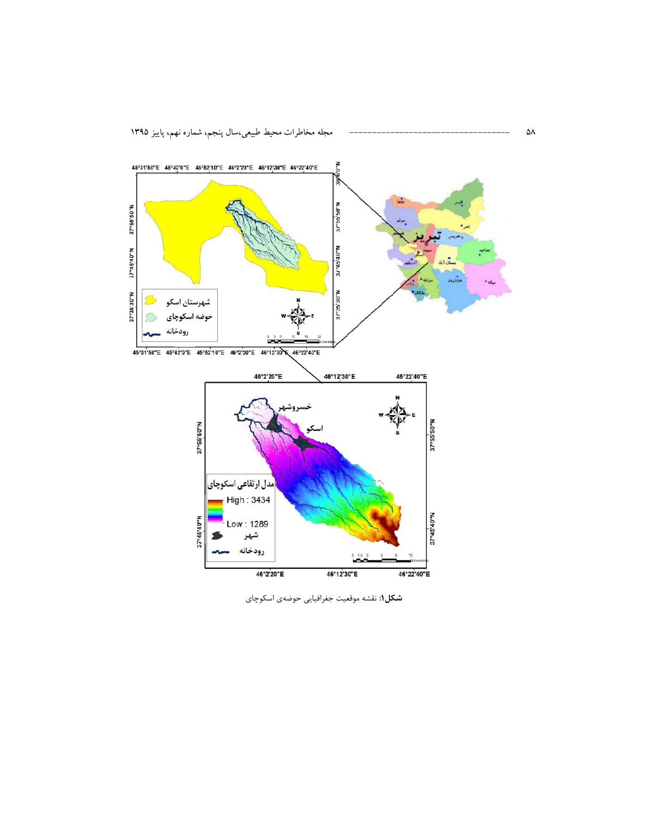

شکل۱: نقشه موقعیت جغرافیایی حوضهی اسکوچای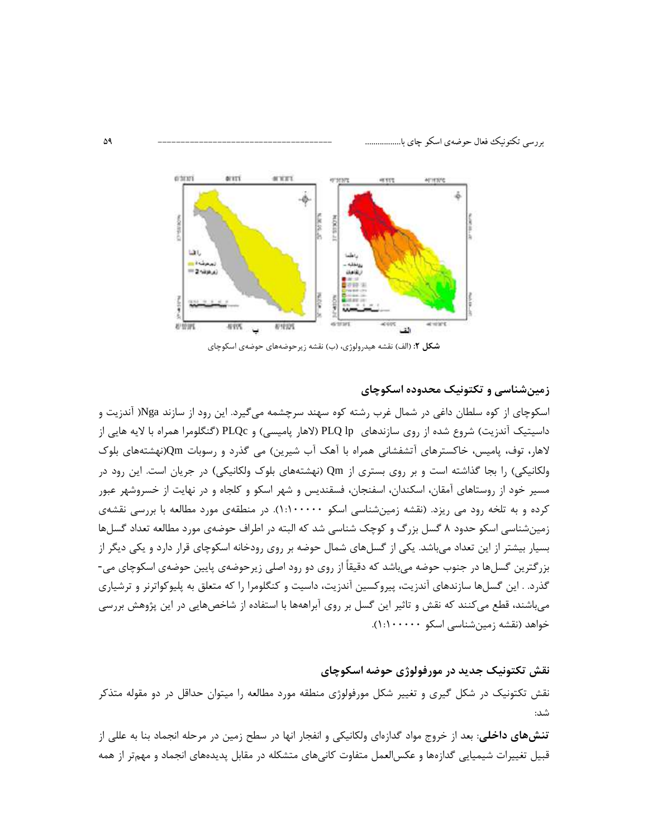

شکل ۲: (الف) نقشه هیدرولوژی، (ب) نقشه زیرحوضههای حوضهی اسکوچای

# زمینشناسی و تکتونیک محدوده اسکوچای

اسکوچای از کوه سلطان داغی در شمال غرب رشته کوه سهند سرچشمه میگیرد. این رود از سازند Nga( آندزیت و داسیتیک آندزیت) شروع شده از روی سازندهای PLQ lp (لاهار پامیسی) و PLQc (گنگلومرا همراه با لایه هایی از لاهار، توف، پامیس، خاکسترهای آتشفشانی همراه با آهک آب شیرین) می گذرد و رسوبات Qm(نهشتههای بلوک ولکانیکی) را بجا گذاشته است و بر روی بستری از Qm (نهشتههای بلوک ولکانیکی) در جریان است. این رود در مسیر خود از روستاهای آمقان، اسکندان، اسفنجان، فسقندیس و شهر اسکو و کلجاه و در نهایت از خسروشهر عبور کرده و به تلخه رود می ریزد. (نقشه زمینشناسی اسکو ۱۰۰۰۰۰۰). در منطقهی مورد مطالعه با بررسی نقشهی زمینشناسی اسکو حدود ۸ گسل بزرگ و کوچک شناسی شد که البته در اطراف حوضهی مورد مطالعه تعداد گسلها بسیار بیشتر از این تعداد می باشد. یکی از گسلهای شمال حوضه بر روی رودخانه اسکوچای قرار دارد و یکی دیگر از بزرگترین گسلها در جنوب حوضه میباشد که دقیقاً از روی دو رود اصلی زیرحوضهی پایین حوضهی اسکوچای می-گذرد. . این گسلها سازندهای آندزیت، پیروکسین آندزیت، داسیت و کنگلومرا را که متعلق به پلیوکواترنر و ترشیاری میباشند، قطع میکنند که نقش و تاثیر این گسل بر روی آبراههها با استفاده از شاخصهایی در این پژوهش بررسی خواهد (نقشه زمین شناسی اسکو ۱۰۰۰۰۰۰:۱).

## نقش تکتونیک جدید در مورفولوژی حوضه اسکوچای

نقش تکتونیک در شکل گیری و تغییر شکل مورفولوژی منطقه مورد مطالعه را میتوان حداقل در دو مقوله متذکر شد:

**تنشهای داخلی**: بعد از خروج مواد گدازهای ولکانیکی و انفجار انها در سطح زمین در مرحله انجماد بنا به عللی از قبیل تغییرات شیمیایی گدازهها و عکسالعمل متفاوت کانیهای متشکله در مقابل پدیدههای انجماد و مهمتر از همه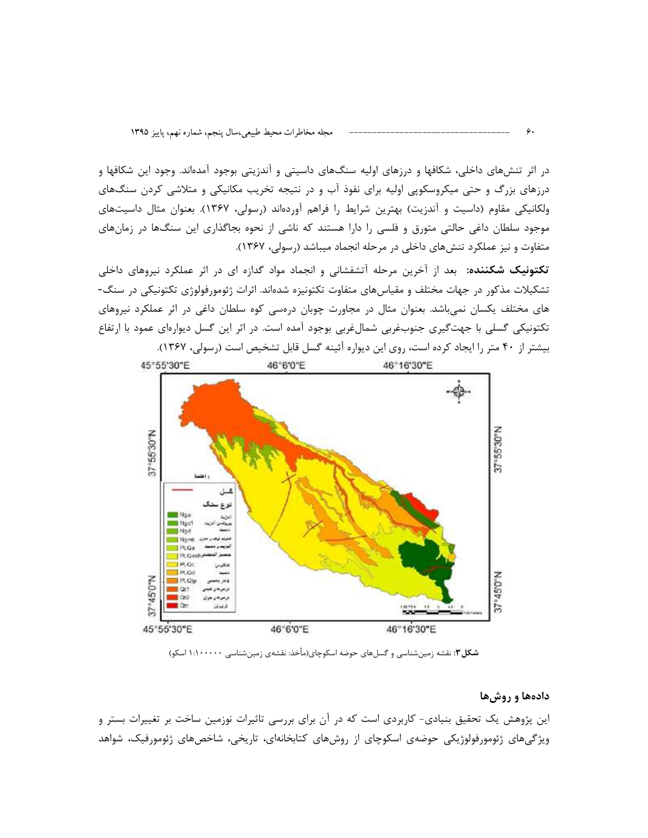در اثر تنشهای داخلی، شکافها و درزهای اولیه سنگهای داسیتی و آندزیتی بوجود آمدهاند. وجود این شکافها و درزهای بزرگ و حتی میکروسکوپی اولیه برای نفوذ آب و در نتیجه تخریب مکانیکی و متلاشی کردن سنگهای ولکانیکی مقاوم (داسیت و آندزیت) بهترین شرایط را فراهم آوردهاند (رسولی، ۱۳۶۷). بعنوان مثال داسیتهای موجود سلطان داغی حالتی متورق و فلسی را دارا هستند که ناشی از نحوه بجاگذاری این سنگها در زمانهای متفاوت و نیز عملکرد تنشهای داخلی در مرحله انجماد میباشد (رسولی، ۱۳۶۷).

تکتونیک شکننده: بعد از آخرین مرحله آتشفشانی و انجماد مواد گدازه ای در اثر عملکرد نیروهای داخلی تشکیلات مذکور در جهات مختلف و مقیاسهای متفاوت تکتونیزه شدهاند. اثرات ژئومورفولوژی تکتونیکی در سنگ-های مختلف یکسان نمی باشد. بعنوان مثال در مجاورت چوبان درمسی کوه سلطان داغی در اثر عملکرد نیروهای تکتونیکی گسلی با جهتگیری جنوبغربی شمالغربی بوجود آمده است. در اثر این گسل دیوارهای عمود با ارتفاع بیشتر از ۴۰ متر را ایجاد کرده است، روی این دیواره آئینه گسل قابل تشخیص است (رسولی، ۱۳۶۷).



شکل۳: نقشه زمین شناسی و گسلهای حوضه اسکوچای(مأخذ: نقشهی زمین شناسی ۱:۱۰۰۰۰۰ اسکو)

#### دادهها و روشها

این پژوهش یک تحقیق بنیادی- کاربردی است که در آن برای بررسی تاثیرات نوزمین ساخت بر تغییرات بستر و ویژگیهای ژئومورفولوژیکی حوضهی اسکوچای از روشهای کتابخانهای، تاریخی، شاخصهای ژئومورفیک، شواهد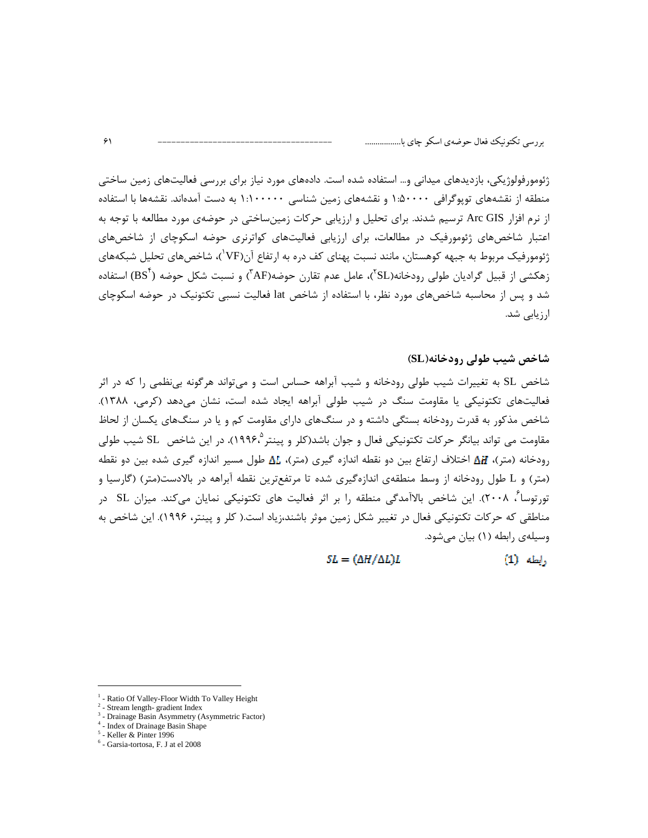ژئومورفولوژیکی، بازدیدهای میدانی و… استفاده شده است. دادههای مورد نیاز برای بررسی فعالیتهای زمین ساختی منطقه از نقشههای توپوگرافی ۱:۵۰۰۰۰ و نقشههای زمین شناسی ۱:۱۰۰۰۰۰ به دست آمدهاند. نقشهها با استفاده از نرم افزار Arc GIS ترسیم شدند. برای تحلیل و ارزیابی حرکات زمینساختی در حوضهی مورد مطالعه با توجه به اعتبار شاخصهای ژئومورفیک در مطالعات، برای ارزیابی فعالیتهای کواترنری حوضه اسکوچای از شاخصهای ژئومورفیک مربوط به جبهه کوهستان، مانند نسبت پهنای کف دره به ارتفاع آن(VF)، شاخصهای تحلیل شبکههای زهکشی از قبیل گرادیان طولی رودخانه(SL<sup>۲</sup>)، عامل عدم تقارن حوضه(AF<sup>۳</sup>) و نسبت شکل حوضه (BS<sup>۲</sup>) استفاده شد و پس از محاسبه شاخصهای مورد نظر، با استفاده از شاخص lat فعالیت نسبی تکتونیک در حوضه اسکوچای ارزیابی شد.

شاخص شیب طولی رودخانه(SL)

شاخص SL به تغییرات شیب طولی رودخانه و شیب آبراهه حساس است و می تواند هرگونه بی نظمی را که در اثر فعالیتهای تکتونیکی یا مقاومت سنگ در شیب طولی آبراهه ایجاد شده است، نشان میدهد (کرمی، ۱۳۸۸). شاخص مذکور به قدرت رودخانه بستگی داشته و در سنگهای دارای مقاومت کم و یا در سنگهای یکسان از لحاظ مقاومت می تواند بیانگر حرکات تکتونیکی فعال و جوان باشد(کلر و پینتر °،۱۹۹۶). در این شاخص SL شیب طولی  $\Delta H$  رودخانه (متر)،  $H$  اختلاف ارتفاع بین دو نقطه اندازه گیری (متر)،  $\Delta L$  طول مسیر اندازه گیری شده بین دو نقطه (متر) و L طول رودخانه از وسط منطقهی اندازهگیری شده تا مرتفعترین نقطه آبراهه در بالادست(متر) (گارسیا و تورتوسا<sup>7</sup>، ۲۰۰۸). این شاخص بالاآمدگی منطقه را بر اثر فعالیت های تکتونیکی نمایان میکند. میزان SL در مناطقی که حرکات تکتونیکی فعال در تغییر شکل زمین موثر باشند،زیاد است.( کلر و پینتر، ۱۹۹۶). این شاخص به وسیلهی رابطه (۱) بیان می شود.

> $SL = (\Delta H / \Delta L) L$  $(1)$  وإيطه

<sup>-</sup> Ratio Of Valley-Floor Width To Valley Height

 $2 -$  Stream length-gradient Index

<sup>&</sup>lt;sup>3</sup> - Drainage Basin Asymmetry (Asymmetric Factor)

<sup>&</sup>lt;sup>1</sup> - Index of Drainage Basin Shape

 $5$  - Keller & Pinter 1996

 $<sup>6</sup>$  - Garsia-tortosa, F. J at el 2008</sup>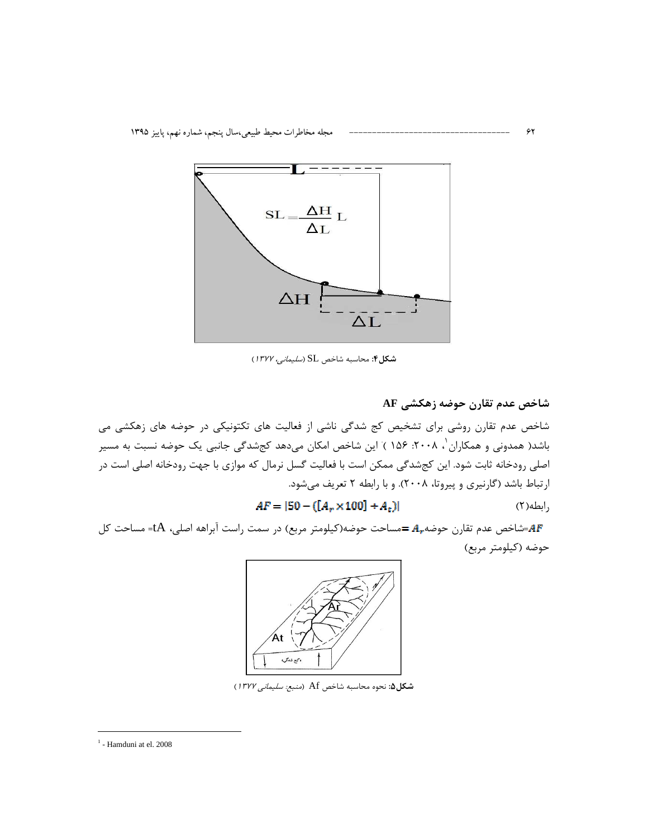

شكل۴: محاسبه شاخص SL (*سليمانى، ١٣٧٧*)

شاخص عدم تقارن روشی برای تشخیص کج شدگی ناشی از فعالیت های تکتونیکی در حوضه های زهکشی می باشد( همدونی و همکاران '، ۲۰۰۸: ۱۵۶ ) این شاخص امکان میدهد کجشدگی جانبی یک حوضه نسبت به مسیر اصلی رودخانه ثابت شود. این کجشدگی ممکن است با فعالیت گسل نرمال که موازی با جهت رودخانه اصلی است در ارتباط باشد (گارنیری و پیروتا، ۲۰۰۸). و با رابطه ۲ تعریف می شود.

$$
AF = |50 - ([Ar \times 100] + At)|
$$
 (Y)

شاخص عدم تقارن حوضه زهكشي AF

۶۲

شاخص عدم تقارن حوضه $A_r$  =مساحت حوضه(کیلومتر مربع) در سمت راست آبراهه اصلی، tA= مساحت کل $A$ F= حوضه (كيلومتر مربع)



شكل ۵: نحوه محاسبه شاخص Af (*منبع: سليماني ١٣٧٧*)

 $1$  - Hamduni at el. 2008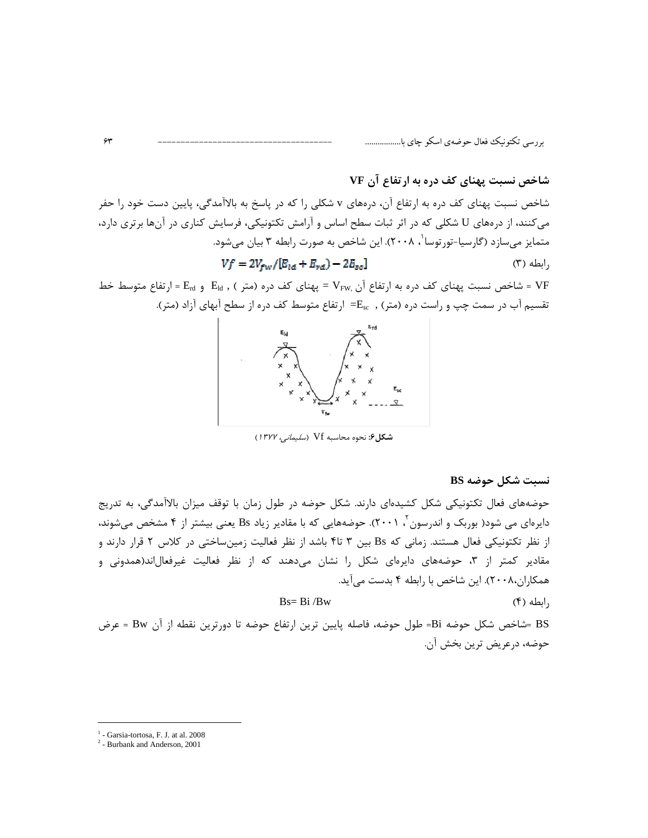## شاخص نسبت پهنای کف دره به ارتفاع آن VF

شاخص نسبت پهنای کف دره به ارتفاع آن، درههای v شکلی را که در پاسخ به بالاآمدگی، پایین دست خود را حفر می کنند، از درههای U شکلی که در اثر ثبات سطح اساس و آرامش تکتونیکی، فرسایش کناری در آنها برتری دارد، متمایز میسازد (گارسیا-تورتوسا '، ۲۰۰۸). این شاخص به صورت رابطه ۳ بیان میشود.  $Vf = 2V_{fw}/[E_{ld} + E_{rd}) - 2E_{sc}]$  $(1)$  ابطه $,$ 

= شاخص نسبت یهنای کف دره به ارتفاع آن .VFw = یهنای کف دره (متر ) , E<sub>ld</sub> و E<sub>rd</sub> = ارتفاع متوسط خط تقسیم آب در سمت چپ و راست دره (متر) , E<sub>sc</sub>= ارتفاع متوسط کف دره از سطح آبهای آزاد (متر).



شكل ۶: نحوه محاسبه Vf (*سليماني، ١٣٧٧*)

#### نسبت شكل حوضه BS

حوضههای فعال تکتونیکی شکل کشیدهای دارند. شکل حوضه در طول زمان با توقف میزان بالاآمدگی، به تدریج دایرهای می شود( بوربک و اندرسون <sup>۲</sup> ۲۰۰۱). حوضههایی که با مقادیر زیاد Bs یعنی بیشتر از ۴ مشخص میشوند، از نظر تکتونیکی فعال هستند. زمانی که Bs بین ۳ تا۴ باشد از نظر فعالیت زمینساختی در کلاس ۲ قرار دارند و مقادیر کمتر از ۳، حوضههای دایرهای شکل را نشان میدهند که از نظر فعالیت غیرفعالاند(همدونی و همکاران،۲۰۰۸). این شاخص با رابطه ۴ بدست می آید.

 $\text{Bs} = \text{Bi} / \text{Bw}$ 

 $(f)$  ابطه),

BS =شاخص شكل حوضه Bi= طول حوضه، فاصله پايين ترين ارتفاع حوضه تا دورترين نقطه از آن Bw = عرض حوضه، درعريض ترين بخش آن.

 $1$  - Garsia-tortosa, F. J. at al. 2008

 $2 -$ Burbank and Anderson, 2001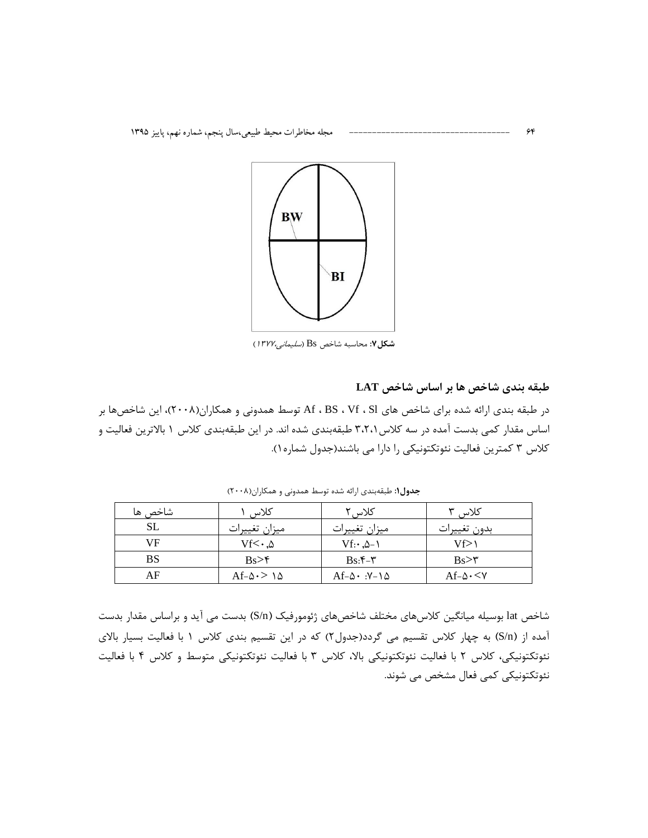

شكل ٧: محاسبه شاخص Bs (*سليماني،١٣٧٧*)

### طبقه بندی شاخص ها بر اساس شاخص LAT

در طبقه بندی ارائه شده برای شاخص های Af ، BS ، Vf ، Sl توسط همدونی و همکاران(۲۰۰۸)، این شاخصها بر اساس مقدار کمی بدست آمده در سه کلاس ۳،۲،۱ طبقهبندی شده اند. در این طبقهبندی کلاس ۱ بالاترین فعالیت و کلاس ۳ کمترین فعالیت نئوتکتونیکی را دارا می باشند(جدول شماره۱).

| شاخص ها   | كلاس                       | کلاس ۲                                   | کلاس ۳                  |
|-----------|----------------------------|------------------------------------------|-------------------------|
| SL        | ميزان تغييرات              | ميزان تغييرات                            | بدون تغييرات            |
| VF        | $Vf<\cdot\,$ . $\Delta$    | $Vf: \Delta - \Delta$                    | Vf>\                    |
| <b>BS</b> | Bs > f                     | $Bs: f - f$                              | $Bs>\tau$               |
| AF        | $Af-\Delta \cdot > \Delta$ | $Af-\Delta \cdot \cdot Y-\lambda \Delta$ | $Af-\Delta \cdot \lt V$ |

جدول۱: طبقهبندی ارائه شده توسط همدونی و همکاران(۲۰۰۸)

شاخص lat بوسیله میانگین کلاسهای مختلف شاخصهای ژئومورفیک (S/n) بدست می آید و براساس مقدار بدست آمده از (S/n) به چهار کلاس تقسیم می گردد(جدول۲) که در این تقسیم بندی کلاس ۱ با فعالیت بسیار بالای نئوتکتونیکی، کلاس ۲ با فعالیت نئوتکتونیکی بالا، کلاس ۳ با فعالیت نئوتکتونیکی متوسط و کلاس ۴ با فعالیت نئوتكتونيكي كمي فعال مشخص مي شوند.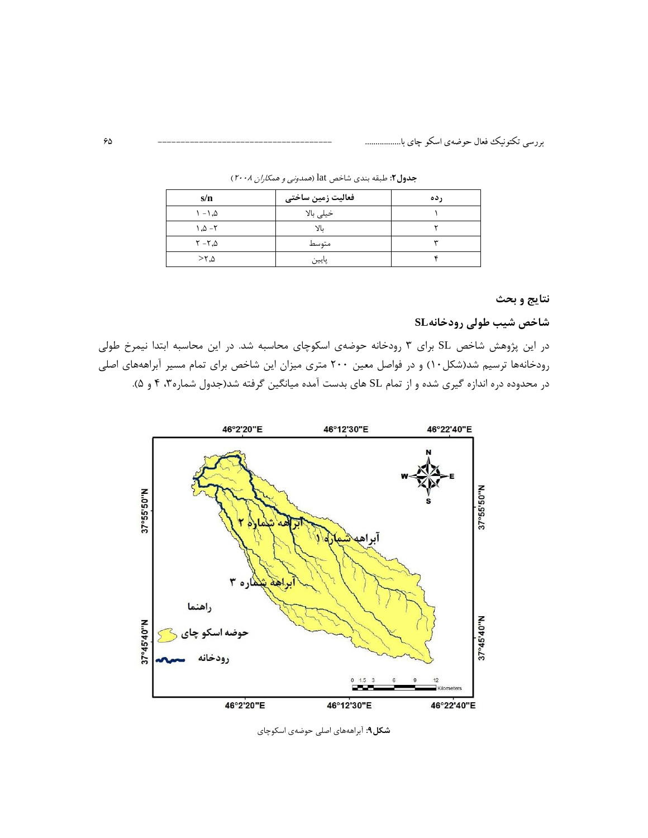| s/n                         | فعالیت زمین ساختی | ر ده |
|-----------------------------|-------------------|------|
| $\Lambda - \Lambda$         | خيلى بالا         |      |
| $1.0 - 7$                   | УL                |      |
| $\tau$ - $\tau$ , $\Delta$  | متوسط             |      |
| $>$ $\uparrow$ . $\uparrow$ | پايين             |      |

جدول٢: طبقه بندي شاخص lat (همدوني و همكاران ٢٠٠٨)

## نتايج و بحث

## شاخص شیب طولی رودخانهSL

در این پژوهش شاخص SL برای ۳ رودخانه حوضهی اسکوچای محاسبه شد. در این محاسبه ابتدا نیمرخ طولی رودخانهها ترسیم شد(شکل۱۰) و در فواصل معین ۲۰۰ متری میزان این شاخص برای تمام مسیر آبراهههای اصلی در محدوده دره اندازه گیری شده و از تمام SL های بدست آمده میانگین گرفته شد(جدول شماره ۳، ۴ و ۵).



شکل۹: آبراهههای اصلی حوضهی اسکوچای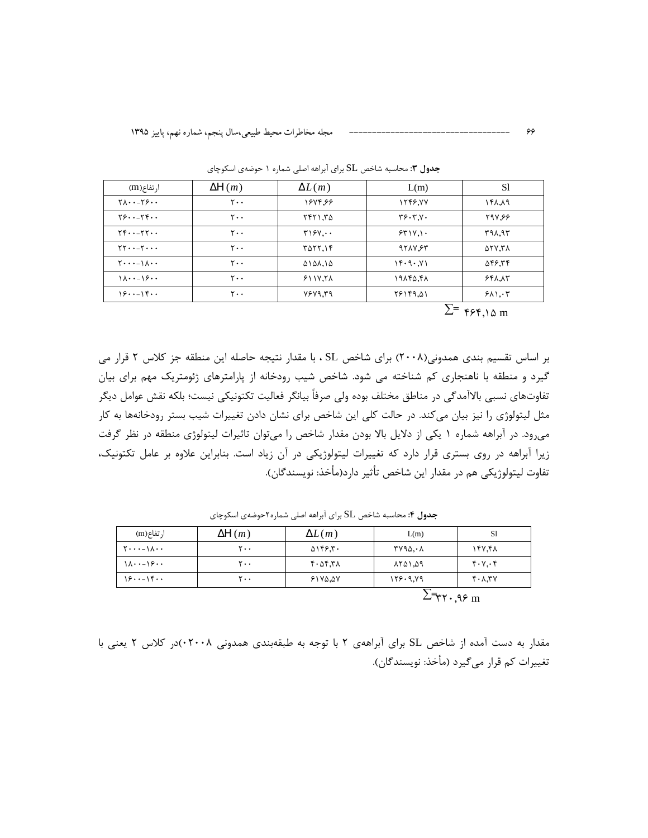| ا, تفاع(m)                                            | $\Delta H(m)$               | $\Delta L(m)$   | L(m)                | S1     |
|-------------------------------------------------------|-----------------------------|-----------------|---------------------|--------|
| $Y\Lambda \cdot -Y5 \cdot \cdot$                      | $\mathsf{r}\cdot\mathsf{r}$ | 1674.66         | 1745.77             | ۱۴۸.۸۹ |
| $Y5 \cdots Y5 \cdots$                                 | $Y \cdot \cdot$             | ۲۴۲۱.۳۵         | $Y^{\varphi}YYYYYY$ | 797.99 |
| $YF\cdots YY\cdots$                                   | $\mathsf{r}\cdot\mathsf{r}$ | T15Y            | 551V.1              | ۳۹۸.۹۳ |
| $\Upsilon\Upsilon\cdot\cdot-\Upsilon\cdot\cdot\cdot$  | $\mathsf{r}\cdot\mathsf{r}$ | <b>TATT.14</b>  | 9717.85             | ۵۲۷.۳۸ |
| $Y \cdot \cdot \cdot - \setminus \Lambda \cdot \cdot$ | $\mathsf{r}\cdot\mathsf{r}$ | ۵۱۵۸.۱۵         | Y, 9, .7            | 546.34 |
| $1\lambda \cdot -15\cdot \cdot$                       | $Y \cdot \cdot$             | $511Y,7\lambda$ | ۱۹۸۴۵,۴۸            | 551.17 |
| 1515                                                  | $\mathsf{r}\cdot\mathsf{r}$ | YYYYYY          | 18149.41            | 511.7  |

جدول ۳: محاسبه شاخص SL برای آبراهه اصلی شماره ۱ حوضهی اسکوچای

 $\Sigma$ =  $\frac{1}{2}$   $\frac{1}{2}$ 

بر اساس تقسیم بندی همدونی(۲۰۰۸) برای شاخص SL ، با مقدار نتیجه حاصله این منطقه جز کلاس ۲ قرار می گیرد و منطقه با ناهنجاری کم شناخته می شود. شاخص شیب رودخانه از پارامترهای ژئومتریک مهم برای بیان تفاوتهای نسبی بالاآمدگی در مناطق مختلف بوده ولی صرفاً بیانگر فعالیت تکتونیکی نیست؛ بلکه نقش عوامل دیگر مثل لیتولوژی را نیز بیان می کند. در حالت کلی این شاخص برای نشان دادن تغییرات شیب بستر رودخانهها به کار میرود. در آبراهه شماره ۱ یکی از دلایل بالا بودن مقدار شاخص را میتوان تاثیرات لیتولوژی منطقه در نظر گرفت زیرا آبراهه در روی بستری قرار دارد که تغییرات لیتولوژیکی در آن زیاد است. بنابراین علاوه بر عامل تکتونیک، تفاوت ليتولوژيكي هم در مقدار اين شاخص تأثير دارد(مأخذ: نويسندگان).

| $\frac{15}{15}$                             | ۲۰۰           | $51Y\Delta, \Delta Y$        | 155.9.19 | $Y^{\dagger}$ . $\lambda$ . $Y^{\dagger}$ |  |
|---------------------------------------------|---------------|------------------------------|----------|-------------------------------------------|--|
| $\lambda \cdot - \frac{5}{2}$               | ۲۰۰           | 6.25.7A                      | ۵۹.۱۵۹۸  | 4.7.7                                     |  |
| $Y \cdot \cdot \cdot - \Lambda \cdot \cdot$ | ۲۰۰           | $\Delta$ \ff. $\mathbf{r}$ . | ۲۷۹۵.۰۸  | 147.41                                    |  |
| ا, تفاع(m)                                  | $\Delta H(m)$ | $\Delta L(m)$                | L(m)     | S1                                        |  |

جدول ۴: محاسبه شاخص SL برای آبراهه اصلی شماره ۲حوضهی اسکوچای

 $2\overline{r}rr.99$  m

مقدار به دست آمده از شاخص SL برای آبراههی ۲ با توجه به طبقهبندی همدونی ۰۲۰۰۸)در کلاس ۲ یعنی با تغييرات كم قرار مي گيرد (مأخذ: نويسندگان).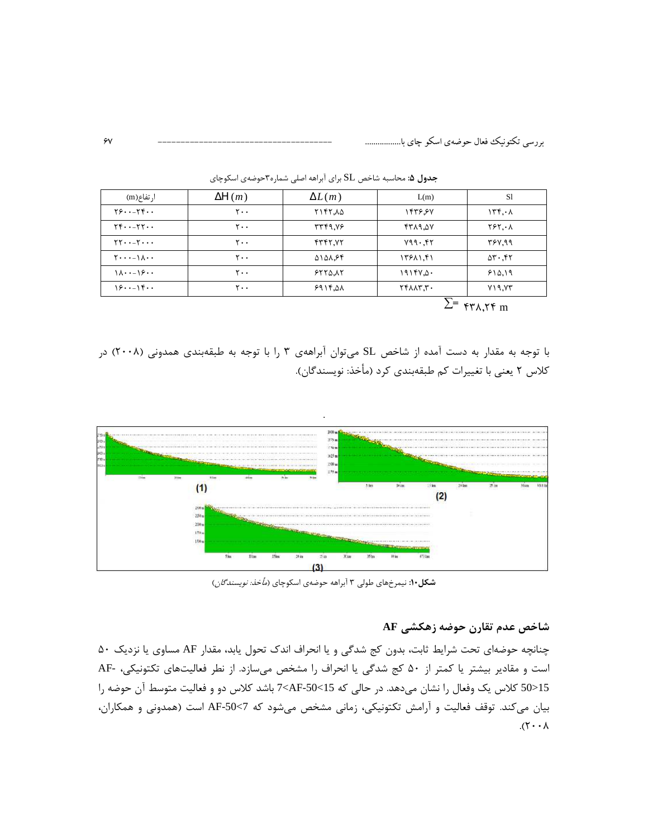| ا, تفاع(m)                                                     | $\Delta H(m)$               | $\Delta L(m)$ | L(m)            | S1                                   |
|----------------------------------------------------------------|-----------------------------|---------------|-----------------|--------------------------------------|
| Y5Y5                                                           | $\mathsf{y}$                | 7147.40       | 1446.87         | 156.1                                |
| $YF \cdot -YY \cdot \cdot$                                     | $\mathsf{r}\cdot\mathsf{r}$ | 37.9777       | $Y_{\Delta, P}$ | $Y^{\varphi}Y,\cdot\wedge$           |
| $\Upsilon\Upsilon\cdots\Upsilon\cdots$                         | $\mathsf{r}\cdot\mathsf{r}$ | 5557          | Y99.57          | 397.99                               |
| $\mathbf{Y} \cdot \cdot \cdot - \mathbf{I} \wedge \cdot \cdot$ | $\mathsf{r}\cdot\mathsf{r}$ | 5151.84       | 1751.51         | $\Delta \mathbf{r} \cdot \mathbf{r}$ |
| $1\lambda \cdot -15 \cdot \cdot$                               | $\mathsf{r}\cdot\mathsf{r}$ | 5550.15       | 1915Y.0.        | 510.19                               |
| 1515                                                           | $\mathsf{r}\cdot\mathsf{r}$ | 5915.01       | YY              | Y19.77                               |
|                                                                |                             |               | ᅲ               |                                      |

جدول ۵: محاسبه شاخص SL برای آبراهه اصلی شماره۳حوضهی اسکوچای

 $\sum$   $\epsilon$   $\gamma$   $\lambda$ ,  $\gamma$   $\epsilon$  m

با توجه به مقدار به دست آمده از شاخص SL میتوان آبراههی ۳ را با توجه به طبقهبندی همدونی (۲۰۰۸) در كلاس ٢ يعني با تغييرات كم طبقهبندي كرد (مأخذ: نويسندگان).



شکل۱۰: نیمرخهای طولی ۳ آبراهه حوضهی اسکوچای (*مأخذ: نویسندگان*)

## شاخص عدم تقارن حوضه زهكشي AF

چنانچه حوضهای تحت شرایط ثابت، بدون کج شدگی و یا انحراف اندک تحول یابد، مقدار AF مساوی یا نزدیک ۵۰ است و مقادیر بیشتر یا کمتر از ۵۰ کج شدگی یا انحراف را مشخص میسازد. از نطر فعالیتهای تکتونیکی، -AF 15<10 كلاس يك وفعال را نشان مى دهد. در حالي كه 15>50<AF باشد كلاس دو و فعاليت متوسط آن حوضه را بیان میکند. توقف فعالیت و آرامش تکتونیکی، زمانی مشخص میشود که 7>S0-AF است (همدونی و همکاران،  $\lambda \cdot \gamma$ ).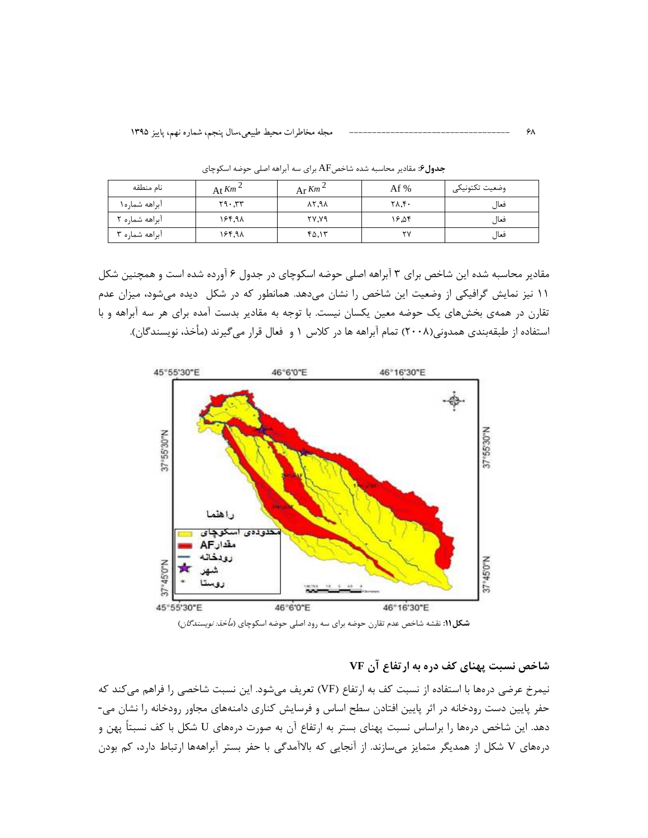| نام منطقه      | At $Km^2$ | $Ar$ Km <sup>2</sup> | Af %  | وضعيت تكتونيكي |
|----------------|-----------|----------------------|-------|----------------|
| آبراهه شماره١  | 77.57     | 88.78                | ۲۸.۴۰ | فعال           |
| آبراهه شماره ۲ | 16.98     | ۲۷.۷۹                | ۱۶.۵۴ | فعال           |
| آبراهه شماره ۳ | 16.98     | ۴۵٬۱۳                | ۲ν    | فعال           |

جدول۶: مقادیر محاسبه شده شاخصAF برای سه آبراهه اصلی حوضه اسکوچای

مقادیر محاسبه شده این شاخص برای ۳ آبراهه اصلی حوضه اسکوچای در جدول ۶ آورده شده است و همچنین شکل ١١ نيز نمايش گرافيكي از وضعيت اين شاخص را نشان مي دهد. همانطور كه در شكل ديده مي شود، ميزان عدم تقارن در همهی بخشهای یک حوضه معین یکسان نیست. با توجه به مقادیر بدست آمده برای هر سه آبراهه و با استفاده از طبقهبندی همدونی(۲۰۰۸) تمام آبراهه ها در کلاس ۱ و فعال قرار می گیرند (مأخذ، نویسندگان).



**شکل۱۱:** نقشه شاخص عدم تقارن حوضه برای سه رود اصلی حوضه اسکوچای (*مأخذ: نویسندگان*)

# شاخص نسبت پهنای کف دره به ارتفاع آن VF

نيمرخ عرضي درهها با استفاده از نسبت كف به ارتفاع (VF) تعريف مي شود. اين نسبت شاخصي را فراهم مي كند كه حفر پایین دست رودخانه در اثر پایین افتادن سطح اساس و فرسایش کناری دامنههای مجاور رودخانه را نشان می-دهد. این شاخص درمها را براساس نسبت پهنای بستر به ارتفاع آن به صورت درمهای U شکل با کف نسبتاً پهن و درههای V شکل از همدیگر متمایز می سازند. از آنجایی که بالاآمدگی با حفر بستر آبراههها ارتباط دارد، کم بودن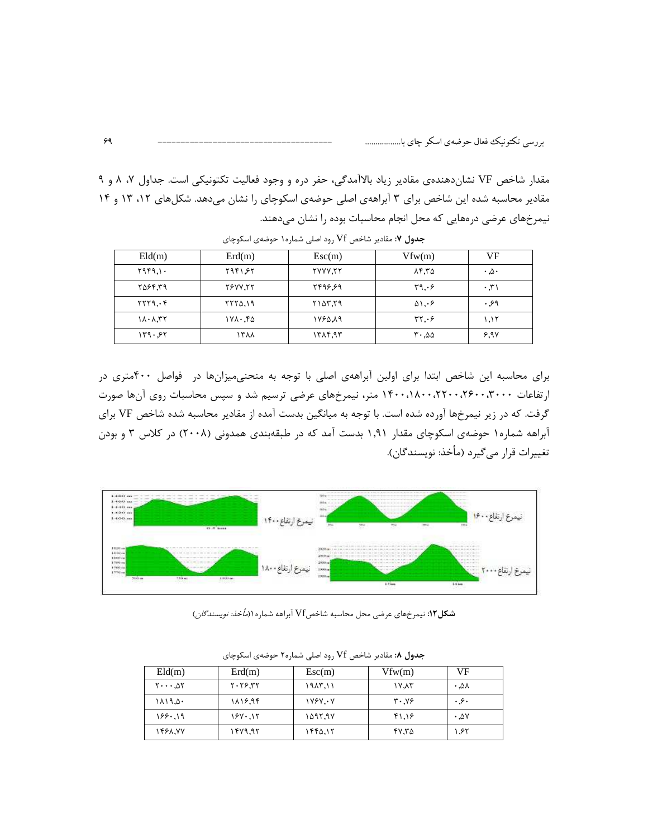مقدار شاخص VF نشانِدهندهی مقادیر زیاد بالاآمدگی، حفر دره و وجود فعالیت تکتونیکی است. جداول ۷، ۸ و ۹ مقادیر محاسبه شده این شاخص برای ۳ آبراههی اصلی حوضهی اسکوچای را نشان میدهد. شکلهای ۱۲، ۱۳ و ۱۴ نیمرخهای عرضی درههایی که محل انجام محاسبات بوده را نشان میدهند.

| Eld(m)  | Erd(m)         | Esc(m)         | Vfw(m)                                      | VF                     |
|---------|----------------|----------------|---------------------------------------------|------------------------|
| Y979.1. | Y981.55        | <b>TYYY.TT</b> | ۲.۳۵                                        | $\cdot$ . $\circ$      |
| ۳۵۶۴,۳۹ | <b>TSVV.TT</b> | ٢۴٩۶.۶٩        | 4.69                                        | $\cdot$ , $\uparrow$ ) |
| YYY9.6f | 7770.19        | Y10Y, Y9       | $\mathfrak{d}\mathfrak{h}\cdot\mathfrak{e}$ | ۶۹.                    |
| 11.1.77 | ۲۷۸۰.۴۵        | ۱۷۶۵,۸۹        | rr, 9                                       | ۱.۱۲                   |
| 149.57  | ۱۳۸۸           | 1715,97        | $\mathsf{r}\cdot\mathsf{a}\mathsf{a}$       | 5,94                   |

جدول ۷: مقادیر شاخص Vf رود اصلی شماره ۱ حوضهی اسکوچای

برای محاسبه این شاخص ابتدا برای اولین آبراههی اصلی با توجه به منحنی میزانها در فواصل ۴۰۰متری در ارتفاعات ۱۴۰۰٬۲۶۰۰٬۲۲۰۰٬۲۶۰۰٬۲۰۰ متر، نیمرخهای عرضی ترسیم شد و سپس محاسبات روی آنها صورت گرفت. که در زیر نیمرخها آورده شده است. با توجه به میانگین بدست آمده از مقادیر محاسبه شده شاخص VF برای آبراهه شماره۱ حوضهی اسکوچای مقدار ۱٫۹۱ بدست آمد که در طبقهبندی همدونی (۲۰۰۸) در کلاس ۳ و بودن تغييرات قرار مي€يرد (مأخذ: نويسندگان).



**شکل ۱۲:** نیمرخهای عرضی محل محاسبه شاخصVf آبراهه شماره ۱ *(مأخذ: نویسندگان*)

| Eld(m)                                           | Erd(m)           | $\mathbf{Esc(m)}$ | Vfw(m)        | VF    |
|--------------------------------------------------|------------------|-------------------|---------------|-------|
| $\mathbf{Y} \cdot \cdot \cdot \Delta \mathbf{Y}$ | $Y \cdot Y$ ۶.۳۲ | ۱ ۱.۳۸۲ ۱         | ۱۷.۸۳         | ۸۵. ۰ |
| ۵۰.۱۹/۱۸                                         | 1816.94          | 1YYY.Y            | $Y \cdot Y$ ۶ | ۰۶۰   |
| 155.19                                           | 1670.15          | ۹۲٬۹۷             | ۴۱٬۱۶         | .01   |
| 1468.77                                          | ۱۴۷۹.۹۲          | ۱۴۴۵,۱۲           | ۴۷.۳۵         | ۱.۶۲  |

جدول ٨: مقادير شاخص Vf رود اصلي شماره٢ حوضهي اسكوچاي

۶۹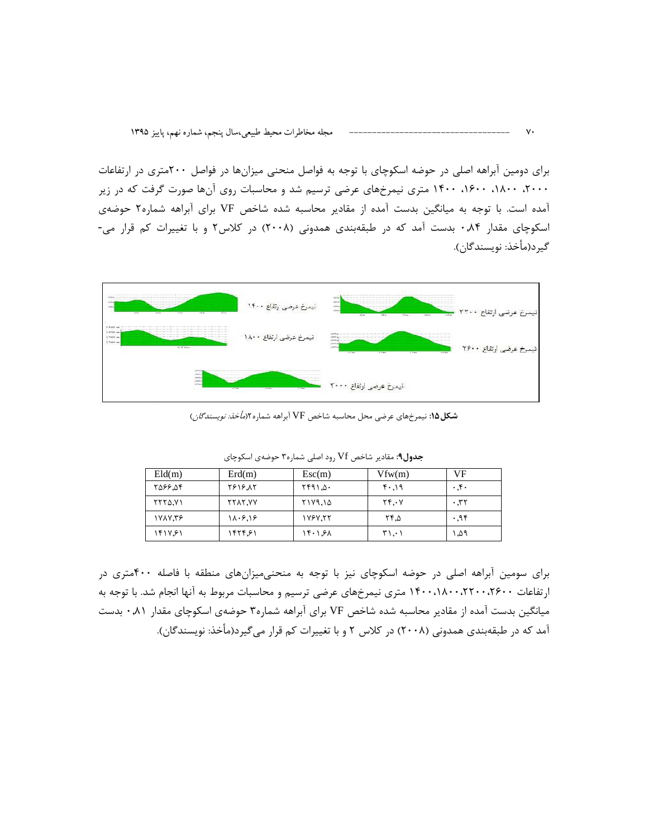برای دومین آبراهه اصلی در حوضه اسکوچای با توجه به فواصل منحنی میزانها در فواصل ۲۰۰متری در ارتفاعات ۲۰۰۰، ۱۸۰۰، ۱۴۰۰، ۱۴۰۰ متری نیمرخهای عرضی ترسیم شد و محاسبات روی آنها صورت گرفت که در زیر آمده است. با توجه به میانگین بدست آمده از مقادیر محاسبه شده شاخص VF برای آبراهه شماره۲ حوضهی اسکوچای مقدار ۰٫۸۴ بدست آمد که در طبقهبندی همدونی (۲۰۰۸) در کلاس۲ و با تغییرات کم قرار می-گيرد(مأخذ: نويسندگان).



**شکل1۵:** نیمرخهای عرضی محل محاسبه شاخص VF آبراهه شماره ۲(*مأخذ: نویسندگان*)

| Eld(m)         | Erd(m)         | Esc(m)   | Vfw(m) | VF                  |
|----------------|----------------|----------|--------|---------------------|
| <b>756.347</b> | 1818.12        | ۵۰. ۱۶۹۱ | ۴۰.۱۹  | $\cdot$ . ۴ $\cdot$ |
| <b>٢٢٢٥.٧١</b> | <b>YYAY.VY</b> | ۲۱۷۹.۱۵  | YY.Y   | ۲۳. ۰               |
| ۹۳٬۷۸۷         | 11.5.18        | 177771   | ۲۴.۵   | ۰٫۹۴                |
| ۱۴۱۷.۶۱        | ۱۴۲۴.۶۱        | 15.151   | ۲۱.۰۱  | ۵۹. ۱               |

ج**دول۹**: مقادیر شاخص Vf رود اصلی شماره۳ حوضهی اسکوچای

برای سومین آبراهه اصلی در حوضه اسکوچای نیز با توجه به منحنیمیزانهای منطقه با فاصله ۴۰۰متری در ارتفاعات ۲۴۰۰،۱۸۰۰،۲۲۰۰،۱۸۰۰ متری نیمرخهای عرضی ترسیم و محاسبات مربوط به آنها انجام شد. با توجه به میانگین بدست آمده از مقادیر محاسبه شده شاخص VF برای آبراهه شماره۳ حوضهی اسکوچای مقدار ۰٫۸۱ بدست آمد که در طبقهبندی همدونی (۲۰۰۸) در کلاس ۲ و با تغییرات کم قرار میگیرد(مأخذ: نویسندگان).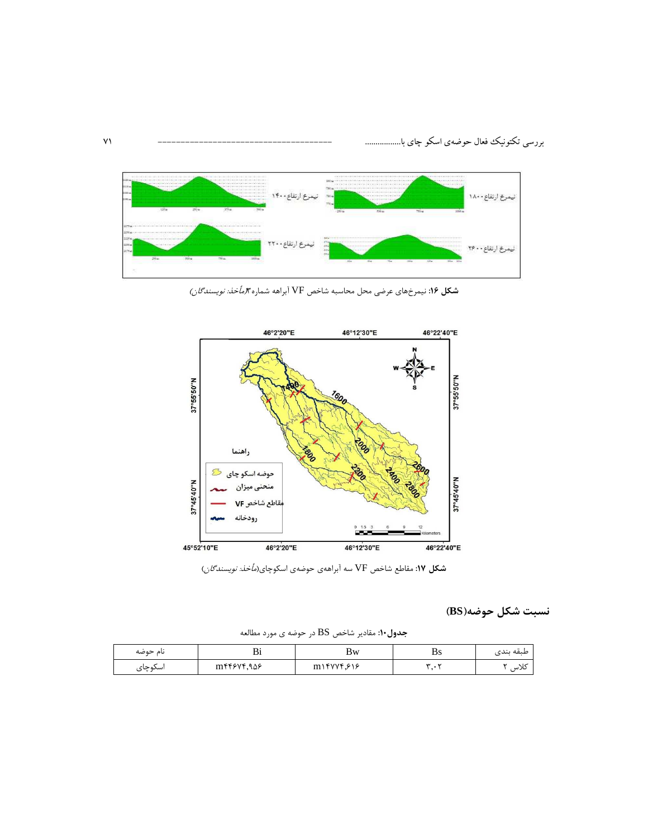

شكل ۱۶: نيمرخهاي عرضي محل محاسبه شاخص VF آبراهه شماره الم*أخذ: نويسندگان)* 



**شکل ۱۷:** مقاطع شاخص VF سه آبراههی حوضهی اسکوچای(*مأخذ: نویسندگان*)

نسبت شكل حوضه(BS)

جدول ۱۰: مقادیر شاخص BS در حوضه ی مورد مطالعه

| نام حوضه | ◡             | Bw                                              | . .<br>D5 | $\bullet\bullet$<br>طبقه بندى |
|----------|---------------|-------------------------------------------------|-----------|-------------------------------|
| اسلوچای  | $m$ ۴۴۶۷۴,۹۵۶ | $m \rightarrow$ $f \rightarrow f \rightarrow f$ |           | صریب                          |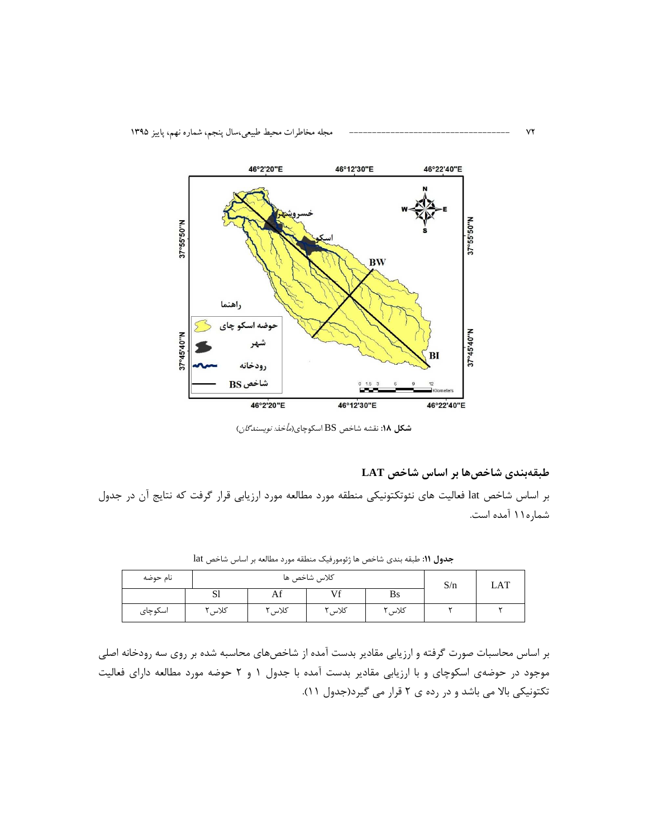

شكل ۱۸: نقشه شاخص BS اسكوچاى(*مأخذ: نويسندگان*)

طبقهبندی شاخصها بر اساس شاخص LAT

بر اساس شاخص lat فعالیت های نئوتکتونیکی منطقه مورد مطالعه مورد ارزیابی قرار گرفت که نتایج آن در جدول شماره ۱۱ آمده است.

| نام حوضه |                | كلاس شاخص ها |        |           | S/n | LAT |
|----------|----------------|--------------|--------|-----------|-----|-----|
|          | $\sim$ 1<br>ЮI | гм           | Vf     | <b>Bs</b> |     |     |
| اسكوچاى  | كلاس           | کلاس ۲       | کلاس ، | کلاس ۲    |     |     |

جدول ١١: طبقه بندى شاخص ها رُئومورفيك منطقه مورد مطالعه بر اساس شاخص lat

بر اساس محاسبات صورت گرفته و ارزیابی مقادیر بدست آمده از شاخصهای محاسبه شده بر روی سه رودخانه اصلی موجود در حوضهی اسکوچای و با ارزیابی مقادیر بدست آمده با جدول ۱ و ۲ حوضه مورد مطالعه دارای فعالیت تکتونیکی بالا می باشد و در رده ی ۲ قرار می گیرد(جدول ۱۱).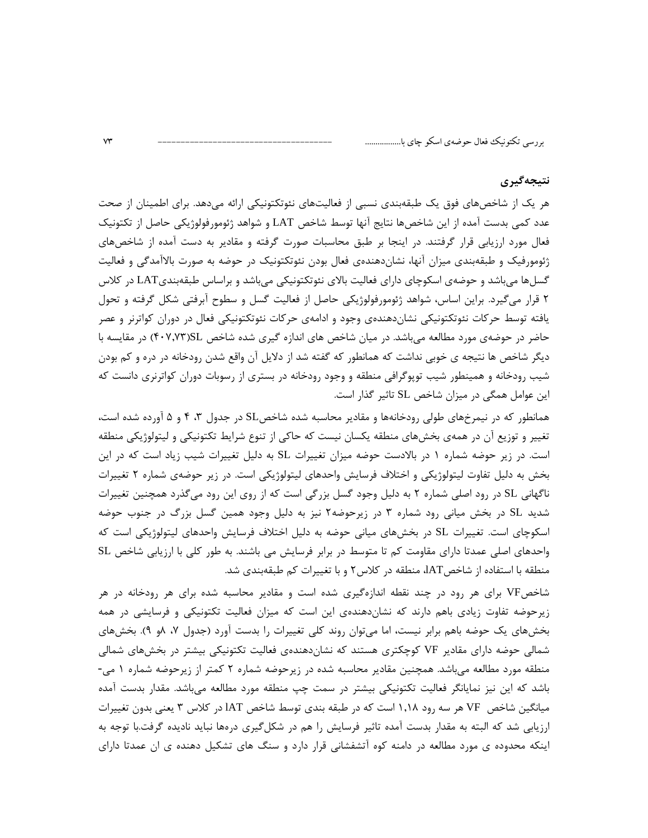## نتيجەگيرى

هر یک از شاخصهای فوق یک طبقهبندی نسبی از فعالیتهای نئوتکتونیکی ارائه میدهد. برای اطمینان از صحت عدد كمي بدست آمده از اين شاخصها نتايج آنها توسط شاخص LAT و شواهد ژئومورفولوژيكي حاصل از تكتونيك فعال مورد ارزیابی قرار گرفتند. در اینجا بر طبق محاسبات صورت گرفته و مقادیر به دست آمده از شاخصهای ژئومورفیک و طبقهبندی میزان آنها، نشاندهندهی فعال بودن نئوتکتونیک در حوضه به صورت بالاآمدگی و فعالیت گسلαا می،باشد و حوضهی اسکوچای دارای فعالیت بالای نئوتکتونیکی می،باشد و براساس طبقهبندیLAT در کلاس ۲ قرار میگیرد. براین اساس، شواهد ژئومورفولوژیکی حاصل از فعالیت گسل و سطوح آبرفتی شکل گرفته و تحول یافته توسط حرکات نئوتکتونیکی نشاندهندهی وجود و ادامهی حرکات نئوتکتونیکی فعال در دوران کواترنر و عصر حاضر در حوضهی مورد مطالعه می باشد. در میان شاخص های اندازه گیری شده شاخص SL(۴۰۷٬۷۳) در مقایسه با دیگر شاخص ها نتیجه ی خوبی نداشت که همانطور که گفته شد از دلایل آن واقع شدن رودخانه در دره و کم بودن شیب رودخانه و همینطور شیب توپوگرافی منطقه و وجود رودخانه در بستری از رسوبات دوران کواترنری دانست که این عوامل همگی در میزان شاخص SL تاثیر گذار است.

همانطور که در نیمرخهای طولی رودخانهها و مقادیر محاسبه شده شاخصSL در جدول ۳، ۴ و ۵ آورده شده است، تغییر و توزیع آن در همهی بخشهای منطقه یکسان نیست که حاکی از تنوع شرایط تکتونیکی و لیتولوژیکی منطقه است. در زیر حوضه شماره ۱ در بالادست حوضه میزان تغییرات SL به دلیل تغییرات شیب زیاد است که در این بخش به دلیل تفاوت لیتولوژیکی و اختلاف فرسایش واحدهای لیتولوژیکی است. در زیر حوضهی شماره ۲ تغییرات ناگهانی SL در رود اصلی شماره ۲ به دلیل وجود گسل بزرگی است که از روی این رود میگذرد همچنین تغییرات شدید SL در بخش میانی رود شماره ۳ در زیرحوضه۲ نیز به دلیل وجود همین گسل بزرگ در جنوب حوضه اسکوچای است. تغییرات SL در بخشهای میانی حوضه به دلیل اختلاف فرسایش واحدهای لیتولوژیکی است که واحدهای اصلی عمدتا دارای مقاومت کم تا متوسط در برابر فرسایش می باشند. به طور کلی با ارزیابی شاخص SL منطقه با استفاده از شاخصAT، منطقه در کلاس۲ و با تغییرات کم طبقهبندی شد.

شاخصVF برای هر رود در چند نقطه اندازهگیری شده است و مقادیر محاسبه شده برای هر رودخانه در هر زیرحوضه تفاوت زیادی باهم دارند که نشاندهندهی این است که میزان فعالیت تکتونیکی و فرسایشی در همه بخشهای یک حوضه باهم برابر نیست، اما میتوان روند کلی تغییرات را بدست آورد (جدول ۷، ۸و ۹). بخشهای شمالی حوضه دارای مقادیر VF کوچکتری هستند که نشاندهندهی فعالیت تکتونیکی بیشتر در بخشهای شمالی منطقه مورد مطالعه میباشد. همچنین مقادیر محاسبه شده در زیرحوضه شماره ۲ کمتر از زیرحوضه شماره ۱ می-باشد که این نیز نمایانگر فعالیت تکتونیکی بیشتر در سمت چپ منطقه مورد مطالعه میباشد. مقدار بدست آمده میانگین شاخص VF هر سه رود ۱٫۱۸ است که در طبقه بندی توسط شاخص IAT در کلاس ۳ یعنی بدون تغییرات ارزیابی شد که البته به مقدار بدست آمده تاثیر فرسایش را هم در شکلگیری درهها نباید نادیده گرفت.با توجه به اینکه محدوده ی مورد مطالعه در دامنه کوه آتشفشانی قرار دارد و سنگ های تشکیل دهنده ی ان عمدتا دارای

 $V^*$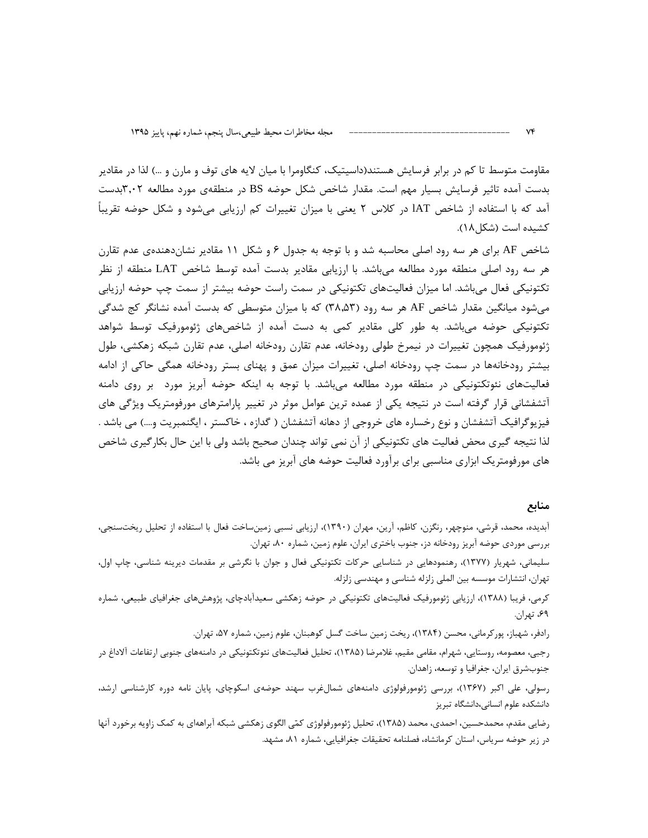مقاومت متوسط تا کم در برابر فرسایش هستند(داسیتیک، کنگاومرا با میان لایه های توف و مارن و …) لذا در مقادیر بدست آمده تاثیر فرسایش بسیار مهم است. مقدار شاخص شکل حوضه BS در منطقهی مورد مطالعه ۳٬۰۲بدست آمد که با استفاده از شاخص IAT در کلاس ۲ یعنی با میزان تغییرات کم ارزیابی میشود و شکل حوضه تقریباً كشيده است (شكل ١٨).

شاخص AF برای هر سه رود اصلی محاسبه شد و با توجه به جدول ۶ و شکل ۱۱ مقادیر نشاندهندهی عدم تقارن هر سه رود اصلی منطقه مورد مطالعه میµشد. با ارزیابی مقادیر بدست آمده توسط شاخص LAT منطقه از نظر تکتونیکی فعال میباشد. اما میزان فعالیتهای تکتونیکی در سمت راست حوضه بیشتر از سمت چپ حوضه ارزیابی میشود میانگین مقدار شاخص AF هر سه رود (۳۸٬۵۳) که با میزان متوسطی که بدست آمده نشانگر کج شدگی تکتونیکی حوضه میباشد. به طور کلی مقادیر کمی به دست آمده از شاخصهای ژئومورفیک توسط شواهد ژئومورفیک همچون تغییرات در نیمرخ طولی رودخانه، عدم تقارن رودخانه اصلی، عدم تقارن شبکه زهکشی، طول بیشتر رودخانهها در سمت چپ رودخانه اصلی، تغییرات میزان عمق و پهنای بستر رودخانه همگی حاکی از ادامه فعالیتهای نئوتکتونیکی در منطقه مورد مطالعه می باشد. با توجه به اینکه حوضه آبریز مورد بر روی دامنه آتشفشانی قرار گرفته است در نتیجه یکی از عمده ترین عوامل موثر در تغییر پارامترهای مورفومتریک ویژگی های فيزيوگرافيک آتشفشان و نوع رخساره هاي خروجي از دهانه آتشفشان ( گدازه ، خاکستر ، ايگنمبريت و…) مي باشد . لذا نتیجه گیری محض فعالیت های تکتونیکی از آن نمی تواند چندان صحیح باشد ولی با این حال بکارگیری شاخص های مورفومتریک ابزاری مناسبی برای برآورد فعالیت حوضه های آبریز می باشد.

## منابع

آبدیده، محمد، قرشی، منوچهر، رنگزن، کاظم، آرین، مهران (۱۳۹۰)، ارزیابی نسبی زمینساخت فعال با استفاده از تحلیل ریختسنجی، بررسی موردی حوضه آبریز رودخانه دز، جنوب باختری ایران، علوم زمین، شماره ۸۰، تهران.

سلیمانی، شهریار (۱۳۷۷)، رهنمودهایی در شناسایی حرکات تکتونیکی فعال و جوان با نگرشی بر مقدمات دیرینه شناسی، چاپ اول، تهران، انتشارات موسسه بین الملی زلزله شناسی و مهندسی زلزله.

کرمی، فریبا (۱۳۸۸)، ارزیابی ژئومورفیک فعالیتهای تکتونیکی در حوضه زهکشی سعیدآبادچای، پژوهشهای جغرافیای طبیعی، شماره ۶۹، تهران.

رادفر، شهباز، پور کرمانی، محسن (۱۳۸۴)، ریخت زمین ساخت گسل کوهبنان، علوم زمین، شماره ۵۷، تهران.

رجبی، معصومه، روستایی، شهرام، مقامی مقیم، غلامرضا (۱۳۸۵)، تحلیل فعالیتهای نئوتکتونیکی در دامنههای جنوبی ارتفاعات آلاداغ در جنوبشرق ايران، جغرافيا و توسعه، زاهدان.

رسولی، علی اکبر (۱۳۶۷)، بررسی ژئومورفولوژی دامنههای شمالغرب سهند حوضهی اسکوچای، پایان نامه دوره کارشناسی ارشد، دانشكده علوم انسانى،دانشگاه تبريز

رضایی مقدم، محمدحسین، احمدی، محمد (۱۳۸۵)، تحلیل ژئومورفولوژی کمّی الگوی زهکشی شبکه آبراههای به کمک زاویه برخورد آنها در زیر حوضه سریاس، استان کرمانشاه، فصلنامه تحقیقات جغرافیایی، شماره ۸۱، مشهد.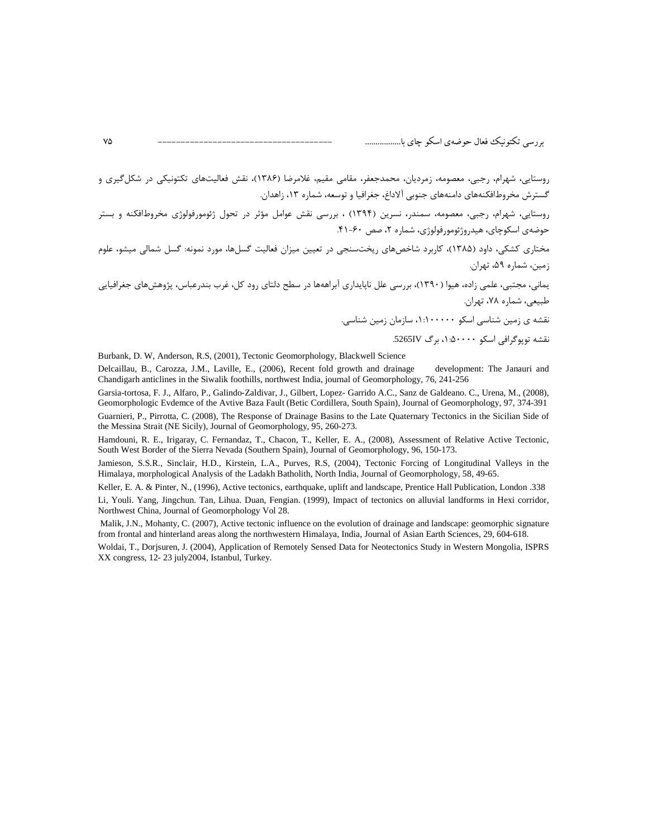روستایی، شهرام، رجبی، معصومه، زمردیان، محمدجعفر، مقامی مقیم، غلامرضا (۱۳۸۶)، نقش فعالیتهای تکتونیکی در شکل گیری و گسترش مخروطافکنههای دامنههای جنوبی آلاداغ، جغرافیا و توسعه، شماره ۱۳، زاهدان.

روستایی، شهرام، رجبی، معصومه، سمندر، نسرین (۱۳۹۴) ، بررسی نقش عوامل مؤثر در تحول ژئومورفولوژی مخروطافکنه و بستر حوضهي اسكوچاي، هيدروژئومورفولوژي، شماره ٢، صص ٤٠-۴۱.

مختاری کشکی، داود (۱۳۸۵)، کاربرد شاخصهای ریختسنجی در تعیین میزان فعالیت گسلها، مورد نمونه: گسل شمالی میشو، علوم زمین، شماره ۵۹، تهران.

.<br>یمانی، مجتبی، علمی زاده، هیوا (۱۳۹۰)، بررسی علل ناپایداری آبراههها در سطح دلتای رود کل، غرب بندرعباس، پژوهشهای جغرافیایی طبیعی، شماره ۷۸، تهران.

نقشه ی زمین شناسی اسکو ۱۰۰۰۰۰۰۰، سازمان زمین شناسی.

نقشه تويوگرافي اسكو ۵۰۰۰۰: ۱، برگ 5265IV.

Burbank, D. W, Anderson, R.S, (2001), Tectonic Geomorphology, Blackwell Science

Delcaillau, B., Carozza, J.M., Laville, E., (2006). Recent fold growth and drainage development: The Janauri and Chandigarh anticlines in the Siwalik foothills, northwest India, journal of Geomorphology, 76, 241-256

Garsia-tortosa, F. J., Alfaro, P., Galindo-Zaldivar, J., Gilbert, Lopez- Garrido A.C., Sanz de Galdeano. C., Urena, M., (2008), Geomorphologic Evdemce of the Avtive Baza Fault (Betic Cordillera, South Spain), Journal of Geomorphology, 97, 374-391 Guarnieri, P., Pirrotta, C. (2008), The Response of Drainage Basins to the Late Quaternary Tectonics in the Sicilian Side of the Messina Strait (NE Sicily), Journal of Geomorphology, 95, 260-273.

Hamdouni, R. E., Irigaray, C. Fernandaz, T., Chacon, T., Keller, E. A., (2008), Assessment of Relative Active Tectonic, South West Border of the Sierra Nevada (Southern Spain), Journal of Geomorphology, 96, 150-173.

Jamieson, S.S.R., Sinclair, H.D., Kirstein, L.A., Purves, R.S. (2004), Tectonic Forcing of Longitudinal Valleys in the Himalaya, morphological Analysis of the Ladakh Batholith, North India, Journal of Geomorphology, 58, 49-65.

Keller, E. A. & Pinter, N., (1996), Active tectonics, earthquake, uplift and landscape, Prentice Hall Publication, London .338

Li, Youli. Yang, Jingchun. Tan, Lihua. Duan, Fengian. (1999), Impact of tectonics on alluvial landforms in Hexi corridor, Northwest China, Journal of Geomorphology Vol 28.

Malik, J.N., Mohanty, C. (2007), Active tectonic influence on the evolution of drainage and landscape: geomorphic signature from frontal and hinterland areas along the northwestern Himalaya, India, Journal of Asian Earth Sciences, 29, 604-618.

Woldai, T., Dorjsuren, J. (2004), Application of Remotely Sensed Data for Neotectonics Study in Western Mongolia, ISPRS XX congress, 12-23 july2004, Istanbul, Turkey.

 $\mathsf{V} \mathsf{d}$